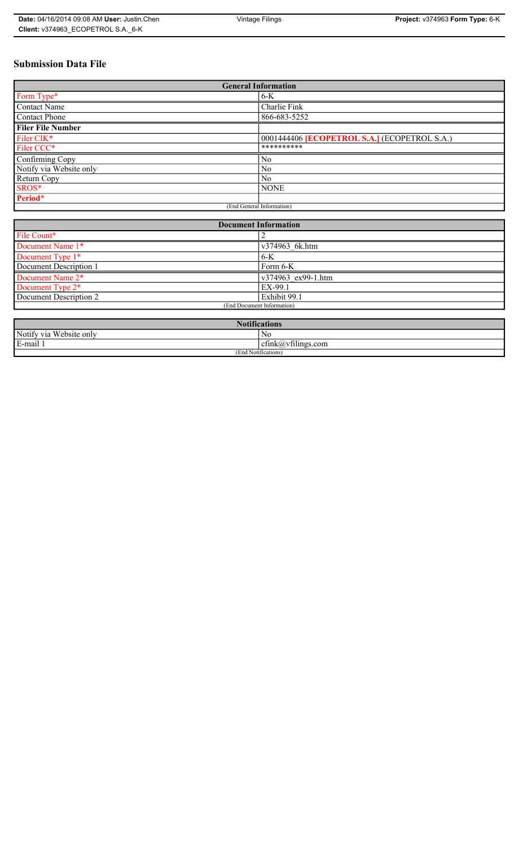# **Submission Data File**

| <b>General Information</b> |                                                   |  |
|----------------------------|---------------------------------------------------|--|
| Form Type*                 | $6-K$                                             |  |
| <b>Contact Name</b>        | Charlie Fink                                      |  |
| <b>Contact Phone</b>       | 866-683-5252                                      |  |
| <b>Filer File Number</b>   |                                                   |  |
| Filer CIK*                 | 0001444406 <b>ECOPETROL S.A.</b> (ECOPETROL S.A.) |  |
| Filer CCC*                 | **********                                        |  |
| Confirming Copy            | No                                                |  |
| Notify via Website only    | N <sub>0</sub>                                    |  |
| Return Copy                | N <sub>0</sub>                                    |  |
| SROS*                      | <b>NONE</b>                                       |  |
| Period*                    |                                                   |  |
| (End General Information)  |                                                   |  |

| <b>Document Information</b> |                    |  |
|-----------------------------|--------------------|--|
| File Count*                 |                    |  |
| Document Name 1*            | v374963 6k.htm     |  |
| Document Type 1*            | $6-K$              |  |
| Document Description 1      | Form 6-K           |  |
| Document Name 2*            | v374963 ex99-1.htm |  |
| Document Type 2*            | EX-99.1            |  |
| Document Description 2      | Exhibit 99.1       |  |
| (End Document Information)  |                    |  |
|                             |                    |  |

| Notifi.<br>tications       |                                  |  |
|----------------------------|----------------------------------|--|
| Notify via<br>Website only | No                               |  |
| 3-mail 1<br>$\blacksquare$ | $\sim$ 1.<br>ctnk(a)vtilings.com |  |
| (End Notifications)        |                                  |  |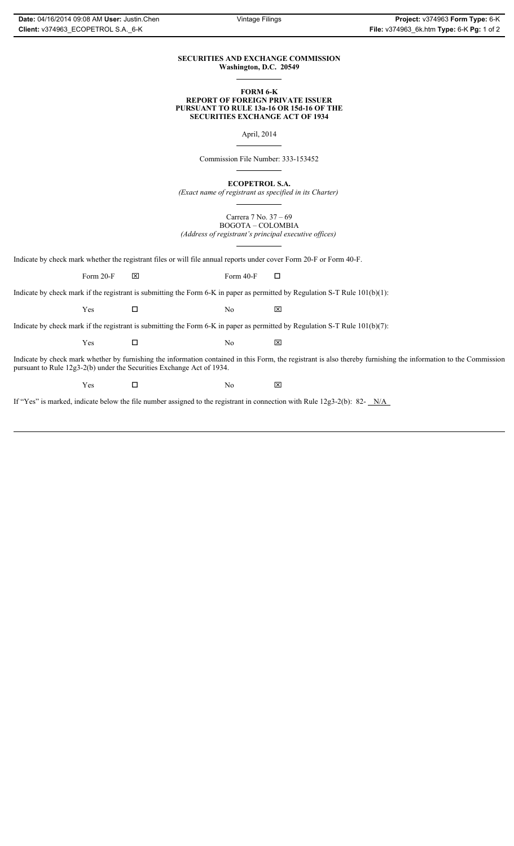### **SECURITIES AND EXCHANGE COMMISSION Washington, D.C. 20549**

### **FORM 6-K REPORT OF FOREIGN PRIVATE ISSUER PURSUANT TO RULE 13a-16 OR 15d-16 OF THE SECURITIES EXCHANGE ACT OF 1934**

April, 2014

Commission File Number: 333-153452

**ECOPETROL S.A.**

*(Exact name of registrant as specified in its Charter)*

Carrera 7 No. 37 – 69 BOGOTA – COLOMBIA *(Address of registrant's principal executive offices)*

Indicate by check mark whether the registrant files or will file annual reports under cover Form 20-F or Form 40-F.

Form 20-F  $\boxtimes$  Form 40-F  $\Box$ 

Indicate by check mark if the registrant is submitting the Form 6-K in paper as permitted by Regulation S-T Rule 101(b)(1):

 $Yes$   $\Box$  No  $X$ 

Indicate by check mark if the registrant is submitting the Form 6-K in paper as permitted by Regulation S-T Rule 101(b)(7):

 $Yes$   $\Box$  No  $X$ 

Indicate by check mark whether by furnishing the information contained in this Form, the registrant is also thereby furnishing the information to the Commission pursuant to Rule 12g3-2(b) under the Securities Exchange Act of 1934.

 $Yes$   $\Box$  No  $X$ 

If "Yes" is marked, indicate below the file number assigned to the registrant in connection with Rule 12g3-2(b): 82- N/A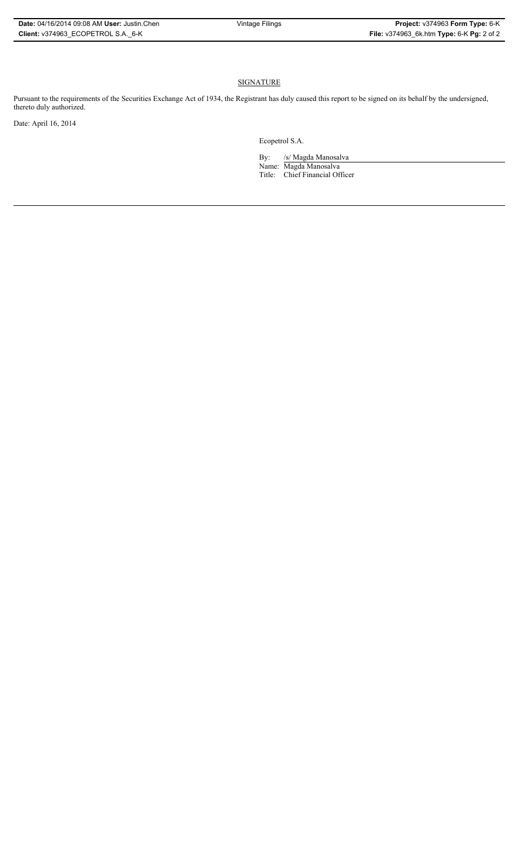## **SIGNATURE**

Pursuant to the requirements of the Securities Exchange Act of 1934, the Registrant has duly caused this report to be signed on its behalf by the undersigned, thereto duly authorized.

Date: April 16, 2014

Ecopetrol S.A.

By: /s/ Magda Manosalva Name: Magda Manosalva Title: Chief Financial Officer